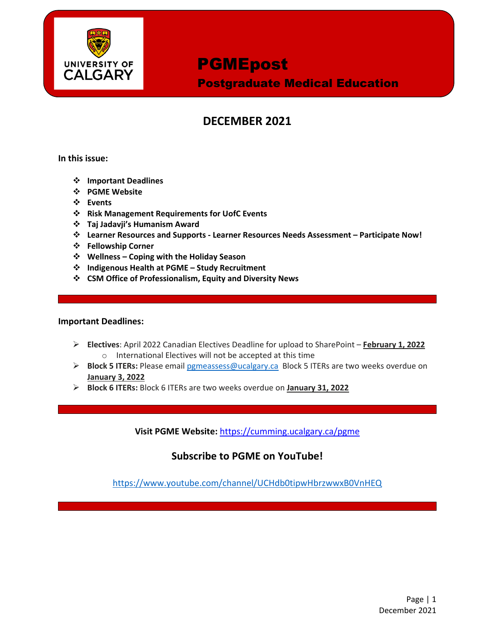

Postgraduate Medical Education

## **DECEMBER 2021**

**In this issue:**

- **Important Deadlines**
- **PGME Website**
- **Events**
- **Risk Management Requirements for UofC Events**
- **Taj Jadavji's Humanism Award**
- **Learner Resources and Supports - Learner Resources Needs Assessment – Participate Now!**
- **Fellowship Corner**
- **Wellness – Coping with the Holiday Season**
- **Indigenous Health at PGME – Study Recruitment**
- **CSM Office of Professionalism, Equity and Diversity News**

#### **Important Deadlines:**

- **Electives**: April 2022 Canadian Electives Deadline for upload to SharePoint **February 1, 2022**  o International Electives will not be accepted at this time
- **Block 5 ITERs:** Please email [pgmeassess@ucalgary.ca](mailto:pgmeassess@ucalgary.ca) Block 5 ITERs are two weeks overdue on **January 3, 2022**
- **Block 6 ITERs:** Block 6 ITERs are two weeks overdue on **January 31, 2022**

**Visit PGME Website:** <https://cumming.ucalgary.ca/pgme>

### **Subscribe to PGME on YouTube!**

<https://www.youtube.com/channel/UCHdb0tipwHbrzwwxB0VnHEQ>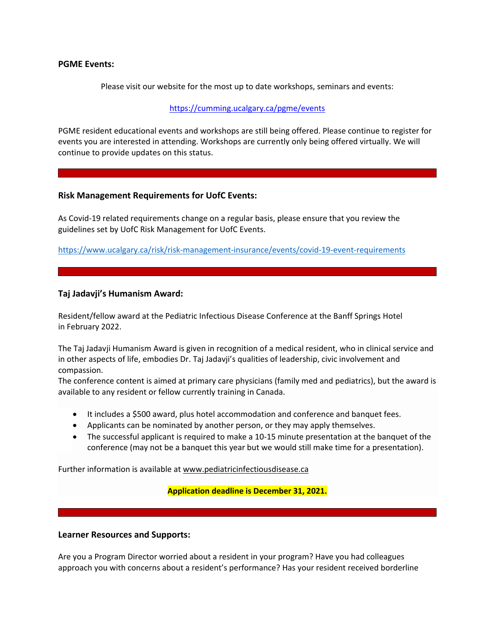#### **PGME Events:**

Please visit our website for the most up to date workshops, seminars and events:

<https://cumming.ucalgary.ca/pgme/events>

PGME resident educational events and workshops are still being offered. Please continue to register for events you are interested in attending. Workshops are currently only being offered virtually. We will continue to provide updates on this status.

#### **Risk Management Requirements for UofC Events:**

As Covid-19 related requirements change on a regular basis, please ensure that you review the guidelines set by UofC Risk Management for UofC Events.

<https://www.ucalgary.ca/risk/risk-management-insurance/events/covid-19-event-requirements>

#### **Taj Jadavji's Humanism Award:**

Resident/fellow award at the Pediatric Infectious Disease Conference at the Banff Springs Hotel in February 2022.

The Taj Jadavji Humanism Award is given in recognition of a medical resident, who in clinical service and in other aspects of life, embodies Dr. Taj Jadavji's qualities of leadership, civic involvement and compassion.

The conference content is aimed at primary care physicians (family med and pediatrics), but the award is available to any resident or fellow currently training in Canada.

- It includes a \$500 award, plus hotel accommodation and conference and banquet fees.
- Applicants can be nominated by another person, or they may apply themselves.
- The successful applicant is required to make a 10-15 minute presentation at the banquet of the conference (may not be a banquet this year but we would still make time for a presentation).

Further information is available at [www.pediatricinfectiousdisease.ca](http://www.pediatricinfectiousdisease.ca/) 

#### **Application deadline is December 31, 2021.**

#### **Learner Resources and Supports:**

Are you a Program Director worried about a resident in your program? Have you had colleagues approach you with concerns about a resident's performance? Has your resident received borderline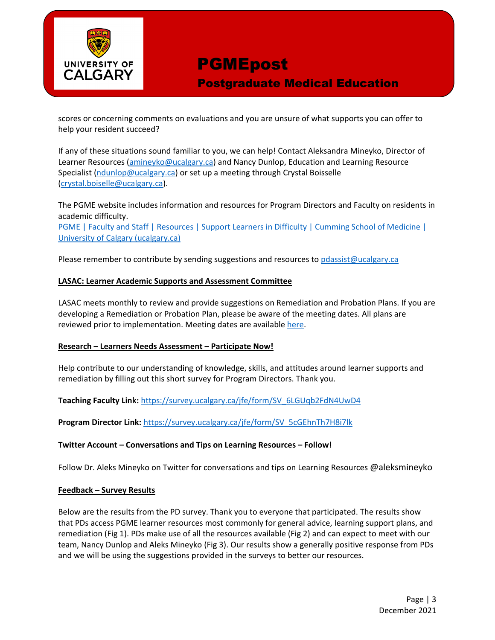

Postgraduate Medical Education

scores or concerning comments on evaluations and you are unsure of what supports you can offer to help your resident succeed?

If any of these situations sound familiar to you, we can help! Contact Aleksandra Mineyko, Director of Learner Resources [\(amineyko@ucalgary.ca\)](mailto:amineyko@ucalgary.ca) and Nancy Dunlop, Education and Learning Resource Specialist [\(ndunlop@ucalgary.ca\)](mailto:ndunlop@ucalgary.ca) or set up a meeting through Crystal Boisselle [\(crystal.boiselle@ucalgary.ca\)](mailto:crystal.boiselle@ucalgary.ca).

The PGME website includes information and resources for Program Directors and Faculty on residents in academic difficulty.

[PGME | Faculty and Staff | Resources | Support Learners in Difficulty | Cumming School of Medicine |](https://cumming.ucalgary.ca/pgme/faculty-and-staff/faculty-and-staff-resources/supportlearnersindifficulty)  [University of Calgary \(ucalgary.ca\)](https://cumming.ucalgary.ca/pgme/faculty-and-staff/faculty-and-staff-resources/supportlearnersindifficulty)

Please remember to contribute by sending suggestions and resources to [pdassist@ucalgary.ca](mailto:pdassist@ucalgary.ca)

#### **LASAC: Learner Academic Supports and Assessment Committee**

LASAC meets monthly to review and provide suggestions on Remediation and Probation Plans. If you are developing a Remediation or Probation Plan, please be aware of the meeting dates. All plans are reviewed prior to implementation. Meeting dates are available [here.](https://cumming.ucalgary.ca/sites/default/files/teams/6/ToR/learner-academic-support-meeting-dates-pgme-2021-2022-v1.pdf)

#### **Research – Learners Needs Assessment – Participate Now!**

Help contribute to our understanding of knowledge, skills, and attitudes around learner supports and remediation by filling out this short survey for Program Directors. Thank you.

#### **Teaching Faculty Link:** [https://survey.ucalgary.ca/jfe/form/SV\\_6LGUqb2FdN4UwD4](https://survey.ucalgary.ca/jfe/form/SV_6LGUqb2FdN4UwD4)

**Program Director Link:** [https://survey.ucalgary.ca/jfe/form/SV\\_5cGEhnTh7H8i7lk](https://survey.ucalgary.ca/jfe/form/SV_5cGEhnTh7H8i7lk)

#### **Twitter Account – Conversations and Tips on Learning Resources – Follow!**

Follow Dr. Aleks Mineyko on Twitter for conversations and tips on Learning Resources @aleksmineyko

#### **Feedback – Survey Results**

Below are the results from the PD survey. Thank you to everyone that participated. The results show that PDs access PGME learner resources most commonly for general advice, learning support plans, and remediation (Fig 1). PDs make use of all the resources available (Fig 2) and can expect to meet with our team, Nancy Dunlop and Aleks Mineyko (Fig 3). Our results show a generally positive response from PDs and we will be using the suggestions provided in the surveys to better our resources.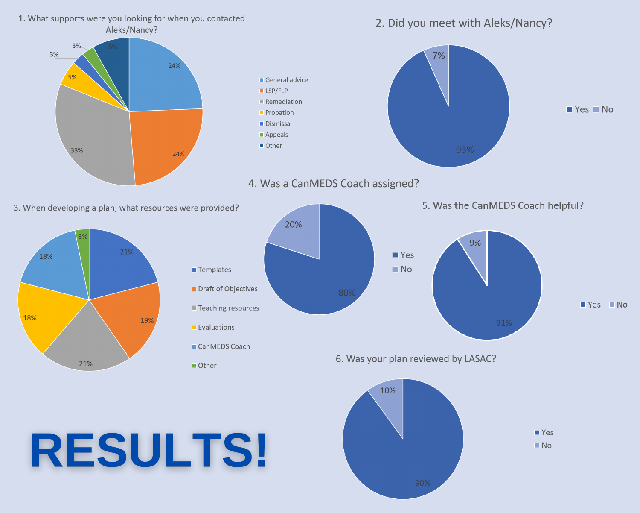1. What supports were you looking for when you contacted 2. Did you meet with Aleks/Nancy? Aleks/Nancy? 3% 3% 7% 24% 5% General advice  $LSP/FLP$ Remediation  $Yes$  No Probation Dismissal Appeals Other 33% 24% 4. Was a CanMEDS Coach assigned? 5. Was the CanMEDS Coach helpful? 3. When developing a plan, what resources were provided? 20% 9% 21% ■ Yes 18%  $N<sub>O</sub>$ **Templates** Draft of Objectives  $Yes$  No Teaching resources 18% 19% Evaluations CanMEDS Coach 6. Was your plan reviewed by LASAC? 21% Other 10%  $Yes$ **RESULTS!**  $N<sub>O</sub>$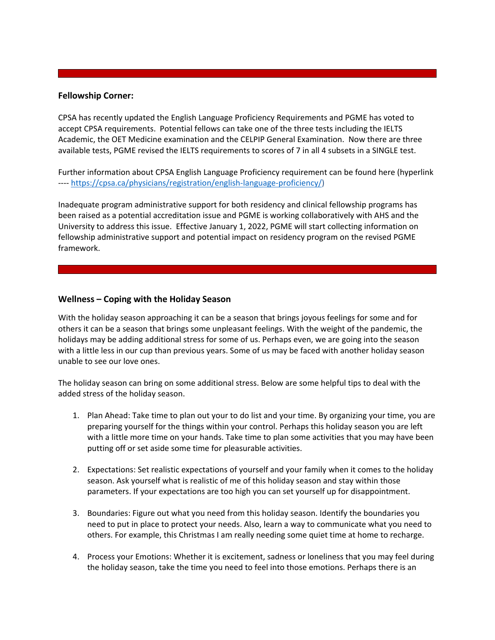#### **Fellowship Corner:**

CPSA has recently updated the English Language Proficiency Requirements and PGME has voted to accept CPSA requirements. Potential fellows can take one of the three tests including the IELTS Academic, the OET Medicine examination and the CELPIP General Examination. Now there are three available tests, PGME revised the IELTS requirements to scores of 7 in all 4 subsets in a SINGLE test.

Further information about CPSA English Language Proficiency requirement can be found here (hyperlink ---- [https://cpsa.ca/physicians/registration/english-language-proficiency/\)](https://cpsa.ca/physicians/registration/english-language-proficiency/)

Inadequate program administrative support for both residency and clinical fellowship programs has been raised as a potential accreditation issue and PGME is working collaboratively with AHS and the University to address this issue. Effective January 1, 2022, PGME will start collecting information on fellowship administrative support and potential impact on residency program on the revised PGME framework.

#### **Wellness – Coping with the Holiday Season**

With the holiday season approaching it can be a season that brings joyous feelings for some and for others it can be a season that brings some unpleasant feelings. With the weight of the pandemic, the holidays may be adding additional stress for some of us. Perhaps even, we are going into the season with a little less in our cup than previous years. Some of us may be faced with another holiday season unable to see our love ones.

The holiday season can bring on some additional stress. Below are some helpful tips to deal with the added stress of the holiday season.

- 1. Plan Ahead: Take time to plan out your to do list and your time. By organizing your time, you are preparing yourself for the things within your control. Perhaps this holiday season you are left with a little more time on your hands. Take time to plan some activities that you may have been putting off or set aside some time for pleasurable activities.
- 2. Expectations: Set realistic expectations of yourself and your family when it comes to the holiday season. Ask yourself what is realistic of me of this holiday season and stay within those parameters. If your expectations are too high you can set yourself up for disappointment.
- 3. Boundaries: Figure out what you need from this holiday season. Identify the boundaries you need to put in place to protect your needs. Also, learn a way to communicate what you need to others. For example, this Christmas I am really needing some quiet time at home to recharge.
- 4. Process your Emotions: Whether it is excitement, sadness or loneliness that you may feel during the holiday season, take the time you need to feel into those emotions. Perhaps there is an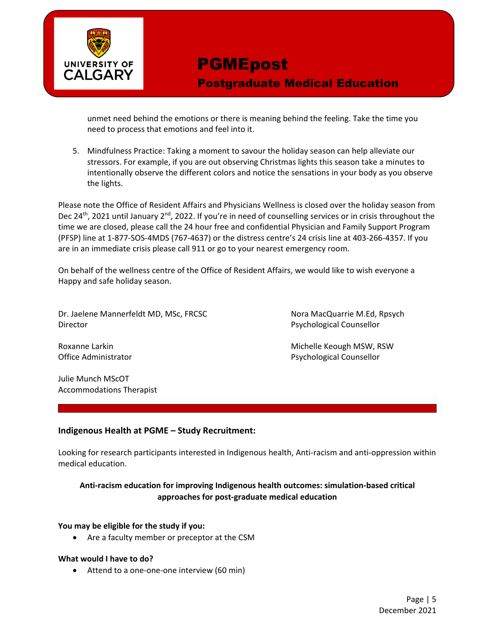

Postgraduate Medical Education

unmet need behind the emotions or there is meaning behind the feeling. Take the time you need to process that emotions and feel into it.

5. Mindfulness Practice: Taking a moment to savour the holiday season can help alleviate our stressors. For example, if you are out observing Christmas lights this season take a minutes to intentionally observe the different colors and notice the sensations in your body as you observe the lights.

Please note the Office of Resident Affairs and Physicians Wellness is closed over the holiday season from Dec 24<sup>th</sup>, 2021 until January 2<sup>nd</sup>, 2022. If you're in need of counselling services or in crisis throughout the time we are closed, please call the 24 hour free and confidential Physician and Family Support Program (PFSP) line at 1-877-SOS-4MDS (767-4637) or the distress centre's 24 crisis line at 403-266-4357. If you are in an immediate crisis please call 911 or go to your nearest emergency room.

On behalf of the wellness centre of the Office of Resident Affairs, we would like to wish everyone a Happy and safe holiday season.

Dr. Jaelene Mannerfeldt MD, MSc, FRCSC Nora MacQuarrie M.Ed, Rpsych Director Psychological Counsellor

Roxanne Larkin **Michelle Keough MSW, RSW** Office Administrator **Psychological Counsellor** Psychological Counsellor

Julie Munch MScOT Accommodations Therapist

#### **Indigenous Health at PGME – Study Recruitment:**

Looking for research participants interested in Indigenous health, Anti-racism and anti-oppression within medical education.

### **Anti-racism education for improving Indigenous health outcomes: simulation-based critical approaches for post-graduate medical education**

#### **You may be eligible for the study if you:**

• Are a faculty member or preceptor at the CSM

#### **What would I have to do?**

• Attend to a one-one-one interview (60 min)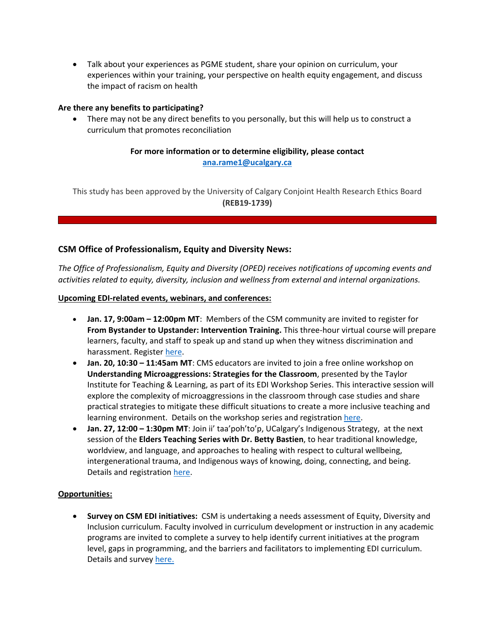• Talk about your experiences as PGME student, share your opinion on curriculum, your experiences within your training, your perspective on health equity engagement, and discuss the impact of racism on health

#### **Are there any benefits to participating?**

• There may not be any direct benefits to you personally, but this will help us to construct a curriculum that promotes reconciliation

#### **For more information or to determine eligibility, please contact [ana.rame1@ucalgary.ca](mailto:ana.rame1@ucalgary.ca)**

This study has been approved by the University of Calgary Conjoint Health Research Ethics Board **(REB19-1739)**

#### **CSM Office of Professionalism, Equity and Diversity News:**

*The Office of Professionalism, Equity and Diversity (OPED) receives notifications of upcoming events and activities related to equity, diversity, inclusion and wellness from external and internal organizations.* 

#### **Upcoming EDI-related events, webinars, and conferences:**

- **Jan. 17, 9:00am – 12:00pm MT**: Members of the CSM community are invited to register for **From Bystander to Upstander: Intervention Training.** This three-hour virtual course will prepare learners, faculty, and staff to speak up and stand up when they witness discrimination and harassment. Registe[r here.](https://www.eventbrite.ca/e/from-bystander-to-upstander-intervention-training-tickets-221649959997)
- **Jan. 20, 10:30 – 11:45am MT**: CMS educators are invited to join a free online workshop on **Understanding Microaggressions: Strategies for the Classroom**, presented by the Taylor Institute for Teaching & Learning, as part of its EDI Workshop Series. This interactive session will explore the complexity of microaggressions in the classroom through case studies and share practical strategies to mitigate these difficult situations to create a more inclusive teaching and learning environment. Details on the workshop series and registratio[n here.](https://taylorinstitute.ucalgary.ca/workshop-series/equity-diversity-inclusion)
- **Jan. 27, 12:00 – 1:30pm MT**: Join ii' taa'poh'to'p, UCalgary's Indigenous Strategy, at the next session of the **Elders Teaching Series with Dr. Betty Bastien**, to hear traditional knowledge, worldview, and language, and approaches to healing with respect to cultural wellbeing, intergenerational trauma, and Indigenous ways of knowing, doing, connecting, and being. Details and registratio[n here.](https://go.ucalgary.ca/2022-01-27-ETS-Bastien2_LPRegistration.html)

#### **Opportunities:**

• **Survey on CSM EDI initiatives:** CSM is undertaking a needs assessment of Equity, Diversity and Inclusion curriculum. Faculty involved in curriculum development or instruction in any academic programs are invited to complete a survey to help identify current initiatives at the program level, gaps in programming, and the barriers and facilitators to implementing EDI curriculum. Details and survey [here.](https://survey.ucalgary.ca/jfe/form/SV_3Qp0VlJ15CD8LVX?mkt_tok=MTYxLU9MTi05OTAAAAF_9g5uHsUlmWBaKzHVeHRxDHoFXjAlvlU8cw1-0vHBQtrjH4qqvoCOLPt5S2TIUo0nK9Q4vZ-nuKDb1Z4m1eJQmzN6GJ55GXN7ScW-OITMZUtaUA)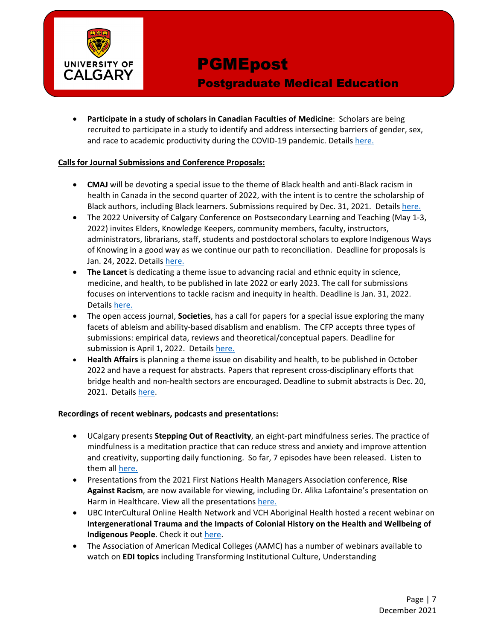

### Postgraduate Medical Education

• **Participate in a study of scholars in Canadian Faculties of Medicine**: Scholars are being recruited to participate in a study to identify and address intersecting barriers of gender, sex, and race to academic productivity during the COVID-19 pandemic. Details [here.](https://www.camh.ca/-/media/files/4d-Phase1-Interview-Recruitment-E-Flyer-pdf.pdf)

#### **Calls for Journal Submissions and Conference Proposals:**

- **CMAJ** will be devoting a special issue to the theme of Black health and anti-Black racism in health in Canada in the second quarter of 2022, with the intent is to centre the scholarship of Black authors, including Black learners. Submissions required by Dec. 31, 2021. Details [here.](https://www.cmaj.ca/content/call-papers-special-issue-black-health-and-anti-black-racism-health-care-canada)
- The 2022 University of Calgary Conference on Postsecondary Learning and Teaching (May 1-3, 2022) invites Elders, Knowledge Keepers, community members, faculty, instructors, administrators, librarians, staff, students and postdoctoral scholars to explore Indigenous Ways of Knowing in a good way as we continue our path to reconciliation. Deadline for proposals is Jan. 24, 2022. Details [here.](https://taylorinstitute.ucalgary.ca/conference)
- **The Lancet** is dedicating a theme issue to advancing racial and ethnic equity in science, medicine, and health, to be published in late 2022 or early 2023. The call for submissions focuses on interventions to tackle racism and inequity in health. Deadline is Jan. 31, 2022. Details [here.](https://www.thelancet.com/journals/lancet/article/PIIS0140-6736(21)02095-X/fulltext)
- The open access journal, **Societies**, has a call for papers for a special issue exploring the many facets of ableism and ability-based disablism and enablism. The CFP accepts three types of submissions: empirical data, reviews and theoretical/conceptual papers. Deadline for submission is April 1, 2022. Details [here.](https://www.mdpi.com/journal/societies/special_issues/Ableism_Disablism)
- **Health Affairs** is planning a theme issue on disability and health, to be published in October 2022 and have a request for abstracts. Papers that represent cross-disciplinary efforts that bridge health and non-health sectors are encouraged. Deadline to submit abstracts is Dec. 20, 2021. Details [here.](https://www.healthaffairs.org/request-for-abstracts/2022-disability-and-health)

#### **Recordings of recent webinars, podcasts and presentations:**

- UCalgary presents **Stepping Out of Reactivity**, an eight-part mindfulness series. The practice of mindfulness is a meditation practice that can reduce stress and anxiety and improve attention and creativity, supporting daily functioning. So far, 7 episodes have been released. Listen to them all [here.](https://ucalgary.ca/podcasts/ucalgary-mindfulness)
- Presentations from the 2021 First Nations Health Managers Association conference, **Rise Against Racism**, are now available for viewing, including Dr. Alika Lafontaine's presentation on Harm in Healthcare. View all the presentations [here.](https://fnhmaconference.ca/2021/)
- UBC InterCultural Online Health Network and VCH Aboriginal Health hosted a recent webinar on **Intergenerational Trauma and the Impacts of Colonial History on the Health and Wellbeing of Indigenous People**. Check it out [here.](https://indigenous.iconproject.org/indigenous-health-rounds-2/)
- The Association of American Medical Colleges (AAMC) has a number of webinars available to watch on **EDI topics** including Transforming Institutional Culture, Understanding